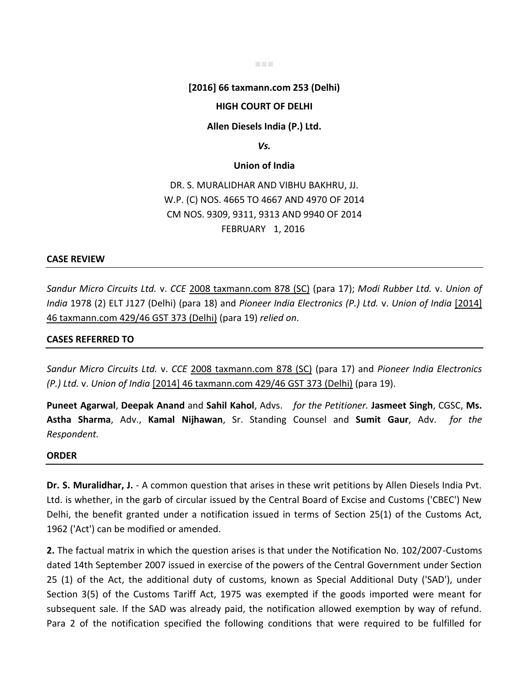#### ■■■

# **[2016] 66 taxmann.com 253 (Delhi)**

# **HIGH COURT OF DELHI**

## **Allen Diesels India (P.) Ltd.**

### *Vs.*

# **Union of India**

DR. S. MURALIDHAR AND VIBHU BAKHRU, JJ. W.P. (C) NOS. 4665 TO 4667 AND 4970 OF 2014 CM NOS. 9309, 9311, 9313 AND 9940 OF 2014 FEBRUARY 1, 2016

# **CASE REVIEW**

*Sandur Micro Circuits Ltd.* v. *CCE* 2008 taxmann.com 878 (SC) (para 17); *Modi Rubber Ltd.* v. *Union of India* 1978 (2) ELT J127 (Delhi) (para 18) and *Pioneer India Electronics (P.) Ltd.* v. *Union of India* [2014] 46 taxmann.com 429/46 GST 373 (Delhi) (para 19) *relied on*.

# **CASES REFERRED TO**

*Sandur Micro Circuits Ltd.* v. *CCE* 2008 taxmann.com 878 (SC) (para 17) and *Pioneer India Electronics (P.) Ltd.* v. *Union of India* [2014] 46 taxmann.com 429/46 GST 373 (Delhi) (para 19).

**Puneet Agarwal**, **Deepak Anand** and **Sahil Kahol**, Advs. *for the Petitioner.* **Jasmeet Singh**, CGSC, **Ms. Astha Sharma**, Adv., **Kamal Nijhawan**, Sr. Standing Counsel and **Sumit Gaur**, Adv. *for the Respondent.*

# **ORDER**

**Dr. S. Muralidhar, J.** - A common question that arises in these writ petitions by Allen Diesels India Pvt. Ltd. is whether, in the garb of circular issued by the Central Board of Excise and Customs ('CBEC') New Delhi, the benefit granted under a notification issued in terms of Section 25(1) of the Customs Act, 1962 ('Act') can be modified or amended.

**2.** The factual matrix in which the question arises is that under the Notification No. 102/2007-Customs dated 14th September 2007 issued in exercise of the powers of the Central Government under Section 25 (1) of the Act, the additional duty of customs, known as Special Additional Duty ('SAD'), under Section 3(5) of the Customs Tariff Act, 1975 was exempted if the goods imported were meant for subsequent sale. If the SAD was already paid, the notification allowed exemption by way of refund. Para 2 of the notification specified the following conditions that were required to be fulfilled for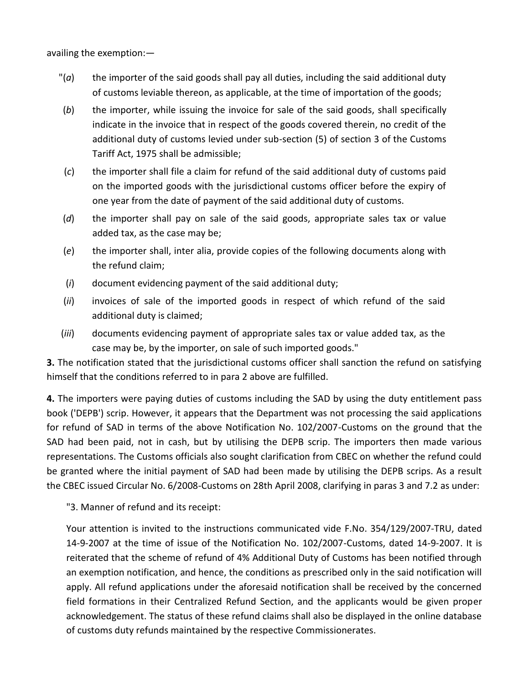availing the exemption:—

- $\sigma$  the importer of the said goods shall pay all duties, including the said additional duty of customs leviable thereon, as applicable, at the time of importation of the goods;
- (*b*) the importer, while issuing the invoice for sale of the said goods, shall specifically indicate in the invoice that in respect of the goods covered therein, no credit of the additional duty of customs levied under sub-section (5) of section 3 of the Customs Tariff Act, 1975 shall be admissible;
- (*c*) the importer shall file a claim for refund of the said additional duty of customs paid on the imported goods with the jurisdictional customs officer before the expiry of one year from the date of payment of the said additional duty of customs.
- (*d*) the importer shall pay on sale of the said goods, appropriate sales tax or value added tax, as the case may be;
- (*e*) the importer shall, inter alia, provide copies of the following documents along with the refund claim;
- (*i*) document evidencing payment of the said additional duty;
- (*ii*) invoices of sale of the imported goods in respect of which refund of the said additional duty is claimed;
- (*iii*) documents evidencing payment of appropriate sales tax or value added tax, as the case may be, by the importer, on sale of such imported goods."

**3.** The notification stated that the jurisdictional customs officer shall sanction the refund on satisfying himself that the conditions referred to in para 2 above are fulfilled.

**4.** The importers were paying duties of customs including the SAD by using the duty entitlement pass book ('DEPB') scrip. However, it appears that the Department was not processing the said applications for refund of SAD in terms of the above Notification No. 102/2007-Customs on the ground that the SAD had been paid, not in cash, but by utilising the DEPB scrip. The importers then made various representations. The Customs officials also sought clarification from CBEC on whether the refund could be granted where the initial payment of SAD had been made by utilising the DEPB scrips. As a result the CBEC issued Circular No. 6/2008-Customs on 28th April 2008, clarifying in paras 3 and 7.2 as under:

"3. Manner of refund and its receipt:

Your attention is invited to the instructions communicated vide F.No. 354/129/2007-TRU, dated 14-9-2007 at the time of issue of the Notification No. 102/2007-Customs, dated 14-9-2007. It is reiterated that the scheme of refund of 4% Additional Duty of Customs has been notified through an exemption notification, and hence, the conditions as prescribed only in the said notification will apply. All refund applications under the aforesaid notification shall be received by the concerned field formations in their Centralized Refund Section, and the applicants would be given proper acknowledgement. The status of these refund claims shall also be displayed in the online database of customs duty refunds maintained by the respective Commissionerates.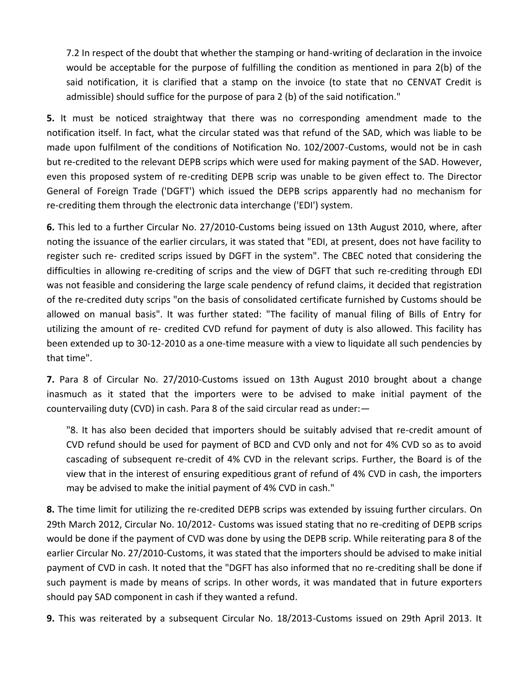7.2 In respect of the doubt that whether the stamping or hand-writing of declaration in the invoice would be acceptable for the purpose of fulfilling the condition as mentioned in para 2(b) of the said notification, it is clarified that a stamp on the invoice (to state that no CENVAT Credit is admissible) should suffice for the purpose of para 2 (b) of the said notification."

**5.** It must be noticed straightway that there was no corresponding amendment made to the notification itself. In fact, what the circular stated was that refund of the SAD, which was liable to be made upon fulfilment of the conditions of Notification No. 102/2007-Customs, would not be in cash but re-credited to the relevant DEPB scrips which were used for making payment of the SAD. However, even this proposed system of re-crediting DEPB scrip was unable to be given effect to. The Director General of Foreign Trade ('DGFT') which issued the DEPB scrips apparently had no mechanism for re-crediting them through the electronic data interchange ('EDI') system.

**6.** This led to a further Circular No. 27/2010-Customs being issued on 13th August 2010, where, after noting the issuance of the earlier circulars, it was stated that "EDI, at present, does not have facility to register such re- credited scrips issued by DGFT in the system". The CBEC noted that considering the difficulties in allowing re-crediting of scrips and the view of DGFT that such re-crediting through EDI was not feasible and considering the large scale pendency of refund claims, it decided that registration of the re-credited duty scrips "on the basis of consolidated certificate furnished by Customs should be allowed on manual basis". It was further stated: "The facility of manual filing of Bills of Entry for utilizing the amount of re- credited CVD refund for payment of duty is also allowed. This facility has been extended up to 30-12-2010 as a one-time measure with a view to liquidate all such pendencies by that time".

**7.** Para 8 of Circular No. 27/2010-Customs issued on 13th August 2010 brought about a change inasmuch as it stated that the importers were to be advised to make initial payment of the countervailing duty (CVD) in cash. Para 8 of the said circular read as under:—

"8. It has also been decided that importers should be suitably advised that re-credit amount of CVD refund should be used for payment of BCD and CVD only and not for 4% CVD so as to avoid cascading of subsequent re-credit of 4% CVD in the relevant scrips. Further, the Board is of the view that in the interest of ensuring expeditious grant of refund of 4% CVD in cash, the importers may be advised to make the initial payment of 4% CVD in cash."

**8.** The time limit for utilizing the re-credited DEPB scrips was extended by issuing further circulars. On 29th March 2012, Circular No. 10/2012- Customs was issued stating that no re-crediting of DEPB scrips would be done if the payment of CVD was done by using the DEPB scrip. While reiterating para 8 of the earlier Circular No. 27/2010-Customs, it was stated that the importers should be advised to make initial payment of CVD in cash. It noted that the "DGFT has also informed that no re-crediting shall be done if such payment is made by means of scrips. In other words, it was mandated that in future exporters should pay SAD component in cash if they wanted a refund.

**9.** This was reiterated by a subsequent Circular No. 18/2013-Customs issued on 29th April 2013. It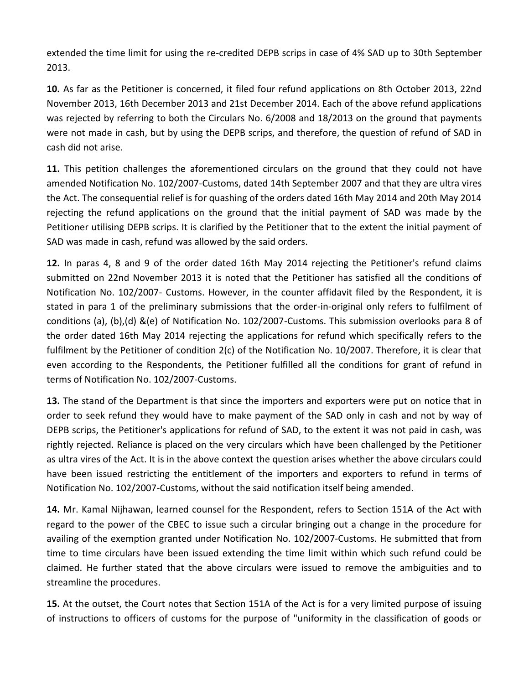extended the time limit for using the re-credited DEPB scrips in case of 4% SAD up to 30th September 2013.

**10.** As far as the Petitioner is concerned, it filed four refund applications on 8th October 2013, 22nd November 2013, 16th December 2013 and 21st December 2014. Each of the above refund applications was rejected by referring to both the Circulars No. 6/2008 and 18/2013 on the ground that payments were not made in cash, but by using the DEPB scrips, and therefore, the question of refund of SAD in cash did not arise.

**11.** This petition challenges the aforementioned circulars on the ground that they could not have amended Notification No. 102/2007-Customs, dated 14th September 2007 and that they are ultra vires the Act. The consequential relief is for quashing of the orders dated 16th May 2014 and 20th May 2014 rejecting the refund applications on the ground that the initial payment of SAD was made by the Petitioner utilising DEPB scrips. It is clarified by the Petitioner that to the extent the initial payment of SAD was made in cash, refund was allowed by the said orders.

**12.** In paras 4, 8 and 9 of the order dated 16th May 2014 rejecting the Petitioner's refund claims submitted on 22nd November 2013 it is noted that the Petitioner has satisfied all the conditions of Notification No. 102/2007- Customs. However, in the counter affidavit filed by the Respondent, it is stated in para 1 of the preliminary submissions that the order-in-original only refers to fulfilment of conditions (a), (b),(d) &(e) of Notification No. 102/2007-Customs. This submission overlooks para 8 of the order dated 16th May 2014 rejecting the applications for refund which specifically refers to the fulfilment by the Petitioner of condition 2(c) of the Notification No. 10/2007. Therefore, it is clear that even according to the Respondents, the Petitioner fulfilled all the conditions for grant of refund in terms of Notification No. 102/2007-Customs.

**13.** The stand of the Department is that since the importers and exporters were put on notice that in order to seek refund they would have to make payment of the SAD only in cash and not by way of DEPB scrips, the Petitioner's applications for refund of SAD, to the extent it was not paid in cash, was rightly rejected. Reliance is placed on the very circulars which have been challenged by the Petitioner as ultra vires of the Act. It is in the above context the question arises whether the above circulars could have been issued restricting the entitlement of the importers and exporters to refund in terms of Notification No. 102/2007-Customs, without the said notification itself being amended.

**14.** Mr. Kamal Nijhawan, learned counsel for the Respondent, refers to Section 151A of the Act with regard to the power of the CBEC to issue such a circular bringing out a change in the procedure for availing of the exemption granted under Notification No. 102/2007-Customs. He submitted that from time to time circulars have been issued extending the time limit within which such refund could be claimed. He further stated that the above circulars were issued to remove the ambiguities and to streamline the procedures.

**15.** At the outset, the Court notes that Section 151A of the Act is for a very limited purpose of issuing of instructions to officers of customs for the purpose of "uniformity in the classification of goods or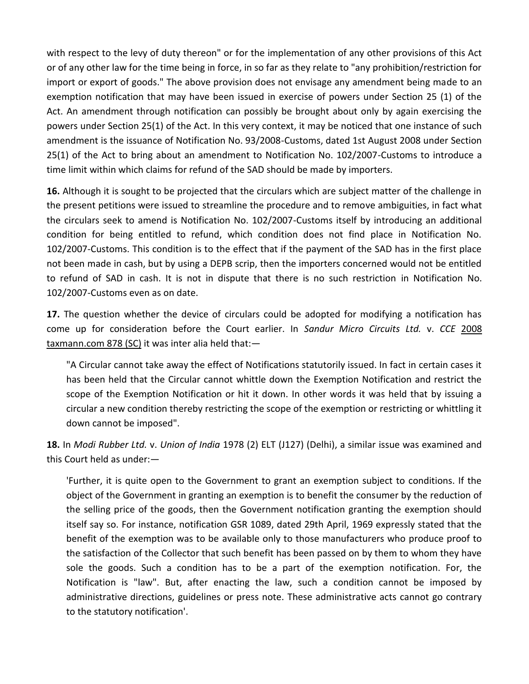with respect to the levy of duty thereon" or for the implementation of any other provisions of this Act or of any other law for the time being in force, in so far as they relate to "any prohibition/restriction for import or export of goods." The above provision does not envisage any amendment being made to an exemption notification that may have been issued in exercise of powers under Section 25 (1) of the Act. An amendment through notification can possibly be brought about only by again exercising the powers under Section 25(1) of the Act. In this very context, it may be noticed that one instance of such amendment is the issuance of Notification No. 93/2008-Customs, dated 1st August 2008 under Section 25(1) of the Act to bring about an amendment to Notification No. 102/2007-Customs to introduce a time limit within which claims for refund of the SAD should be made by importers.

**16.** Although it is sought to be projected that the circulars which are subject matter of the challenge in the present petitions were issued to streamline the procedure and to remove ambiguities, in fact what the circulars seek to amend is Notification No. 102/2007-Customs itself by introducing an additional condition for being entitled to refund, which condition does not find place in Notification No. 102/2007-Customs. This condition is to the effect that if the payment of the SAD has in the first place not been made in cash, but by using a DEPB scrip, then the importers concerned would not be entitled to refund of SAD in cash. It is not in dispute that there is no such restriction in Notification No. 102/2007-Customs even as on date.

**17.** The question whether the device of circulars could be adopted for modifying a notification has come up for consideration before the Court earlier. In *Sandur Micro Circuits Ltd.* v. *CCE* 2008 taxmann.com 878 (SC) it was inter alia held that:—

"A Circular cannot take away the effect of Notifications statutorily issued. In fact in certain cases it has been held that the Circular cannot whittle down the Exemption Notification and restrict the scope of the Exemption Notification or hit it down. In other words it was held that by issuing a circular a new condition thereby restricting the scope of the exemption or restricting or whittling it down cannot be imposed".

**18.** In *Modi Rubber Ltd.* v. *Union of India* 1978 (2) ELT (J127) (Delhi), a similar issue was examined and this Court held as under:—

'Further, it is quite open to the Government to grant an exemption subject to conditions. If the object of the Government in granting an exemption is to benefit the consumer by the reduction of the selling price of the goods, then the Government notification granting the exemption should itself say so. For instance, notification GSR 1089, dated 29th April, 1969 expressly stated that the benefit of the exemption was to be available only to those manufacturers who produce proof to the satisfaction of the Collector that such benefit has been passed on by them to whom they have sole the goods. Such a condition has to be a part of the exemption notification. For, the Notification is "law". But, after enacting the law, such a condition cannot be imposed by administrative directions, guidelines or press note. These administrative acts cannot go contrary to the statutory notification'.